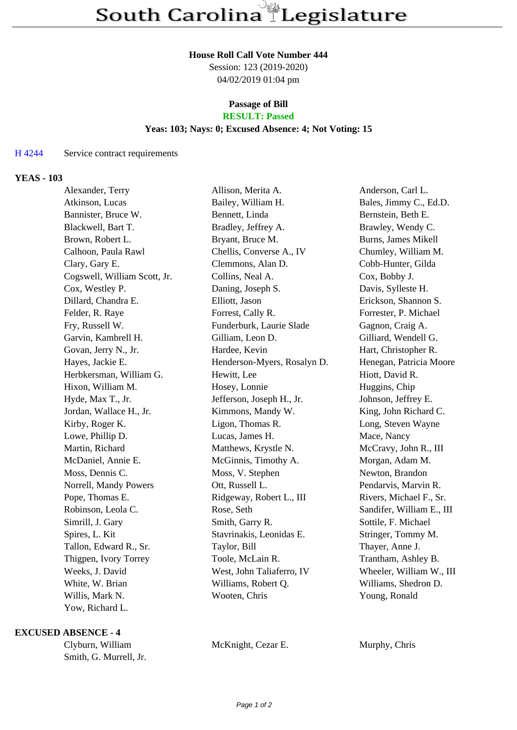#### **House Roll Call Vote Number 444**

Session: 123 (2019-2020) 04/02/2019 01:04 pm

#### **Passage of Bill RESULT: Passed**

# **Yeas: 103; Nays: 0; Excused Absence: 4; Not Voting: 15**

## H 4244 Service contract requirements

## **YEAS - 103**

| Alexander, Terry             | Allison, Merita A.          | Anderson, Carl L.          |
|------------------------------|-----------------------------|----------------------------|
| Atkinson, Lucas              | Bailey, William H.          | Bales, Jimmy C., Ed.D.     |
| Bannister, Bruce W.          | Bennett, Linda              | Bernstein, Beth E.         |
| Blackwell, Bart T.           | Bradley, Jeffrey A.         | Brawley, Wendy C.          |
| Brown, Robert L.             | Bryant, Bruce M.            | <b>Burns, James Mikell</b> |
| Calhoon, Paula Rawl          | Chellis, Converse A., IV    | Chumley, William M.        |
| Clary, Gary E.               | Clemmons, Alan D.           | Cobb-Hunter, Gilda         |
| Cogswell, William Scott, Jr. | Collins, Neal A.            | Cox, Bobby J.              |
| Cox, Westley P.              | Daning, Joseph S.           | Davis, Sylleste H.         |
| Dillard, Chandra E.          | Elliott, Jason              | Erickson, Shannon S.       |
| Felder, R. Raye              | Forrest, Cally R.           | Forrester, P. Michael      |
| Fry, Russell W.              | Funderburk, Laurie Slade    | Gagnon, Craig A.           |
| Garvin, Kambrell H.          | Gilliam, Leon D.            | Gilliard, Wendell G.       |
| Govan, Jerry N., Jr.         | Hardee, Kevin               | Hart, Christopher R.       |
| Hayes, Jackie E.             | Henderson-Myers, Rosalyn D. | Henegan, Patricia Moore    |
| Herbkersman, William G.      | Hewitt, Lee                 | Hiott, David R.            |
| Hixon, William M.            | Hosey, Lonnie               | Huggins, Chip              |
| Hyde, Max T., Jr.            | Jefferson, Joseph H., Jr.   | Johnson, Jeffrey E.        |
| Jordan, Wallace H., Jr.      | Kimmons, Mandy W.           | King, John Richard C.      |
| Kirby, Roger K.              | Ligon, Thomas R.            | Long, Steven Wayne         |
| Lowe, Phillip D.             | Lucas, James H.             | Mace, Nancy                |
| Martin, Richard              | Matthews, Krystle N.        | McCravy, John R., III      |
| McDaniel, Annie E.           | McGinnis, Timothy A.        | Morgan, Adam M.            |
| Moss, Dennis C.              | Moss, V. Stephen            | Newton, Brandon            |
| Norrell, Mandy Powers        | Ott, Russell L.             | Pendarvis, Marvin R.       |
| Pope, Thomas E.              | Ridgeway, Robert L., III    | Rivers, Michael F., Sr.    |
| Robinson, Leola C.           | Rose, Seth                  | Sandifer, William E., III  |
| Simrill, J. Gary             | Smith, Garry R.             | Sottile, F. Michael        |
| Spires, L. Kit               | Stavrinakis, Leonidas E.    | Stringer, Tommy M.         |
| Tallon, Edward R., Sr.       | Taylor, Bill                | Thayer, Anne J.            |
| Thigpen, Ivory Torrey        | Toole, McLain R.            | Trantham, Ashley B.        |
| Weeks, J. David              | West, John Taliaferro, IV   | Wheeler, William W., III   |
| White, W. Brian              | Williams, Robert Q.         | Williams, Shedron D.       |
| Willis, Mark N.              | Wooten, Chris               | Young, Ronald              |
| Yow, Richard L.              |                             |                            |

### **EXCUSED ABSENCE - 4**

Clyburn, William McKnight, Cezar E. Murphy, Chris Smith, G. Murrell, Jr.